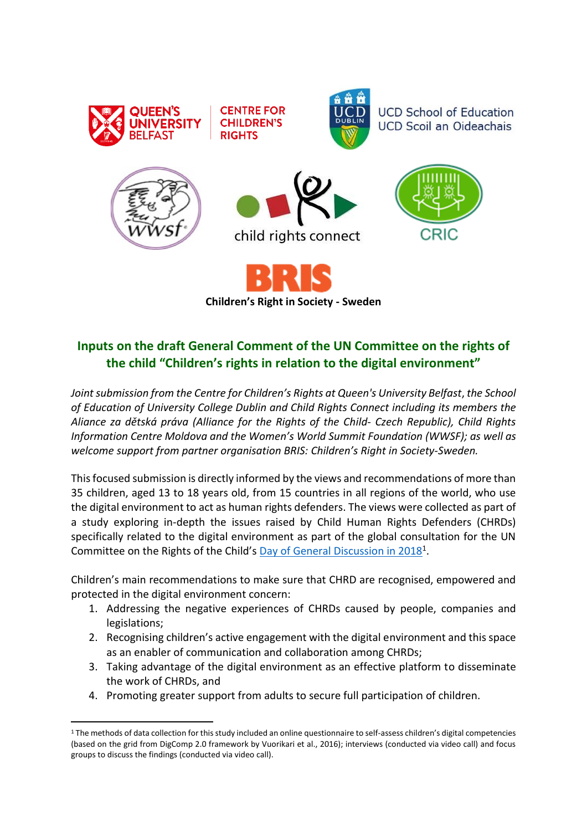

**CENTRE FOR CHILDREN'S RIGHTS** 



**UCD School of Education UCD Scoil an Oideachais** 







**Children's Right in Society - Sweden**

# **Inputs on the draft General Comment of the UN Committee on the rights of the child "Children's rights in relation to the digital environment"**

*Joint submission from the Centre for Children's Rights at Queen's University Belfast*, *the School of Education of University College Dublin and Child Rights Connect including its members the Aliance za dětská práva (Alliance for the Rights of the Child- Czech Republic), Child Rights Information Centre Moldova and the Women's World Summit Foundation (WWSF); as well as welcome support from partner organisation BRIS: Children's Right in Society-Sweden.*

This focused submission is directly informed by the views and recommendations of more than 35 children, aged 13 to 18 years old, from 15 countries in all regions of the world, who use the digital environment to act as human rights defenders. The views were collected as part of a study exploring in-depth the issues raised by Child Human Rights Defenders (CHRDs) specifically related to the digital environment as part of the global consultation for the UN Committee on the Rights of the Child's **[Day of General Discussion in 2018](https://www.ohchr.org/en/hrbodies/crc/pages/discussion2018.aspx#:~:text=Day%20of%20General%20Discussion%3A%20%22Protecting,instrument%2C%20with%20196%20States%20parties.)**<sup>1</sup>.

Children's main recommendations to make sure that CHRD are recognised, empowered and protected in the digital environment concern:

- 1. Addressing the negative experiences of CHRDs caused by people, companies and legislations;
- 2. Recognising children's active engagement with the digital environment and this space as an enabler of communication and collaboration among CHRDs;
- 3. Taking advantage of the digital environment as an effective platform to disseminate the work of CHRDs, and
- 4. Promoting greater support from adults to secure full participation of children.

<sup>1</sup> The methods of data collection for this study included an online questionnaire to self-assess children's digital competencies (based on the grid from DigComp 2.0 framework by Vuorikari et al., 2016); interviews (conducted via video call) and focus groups to discuss the findings (conducted via video call).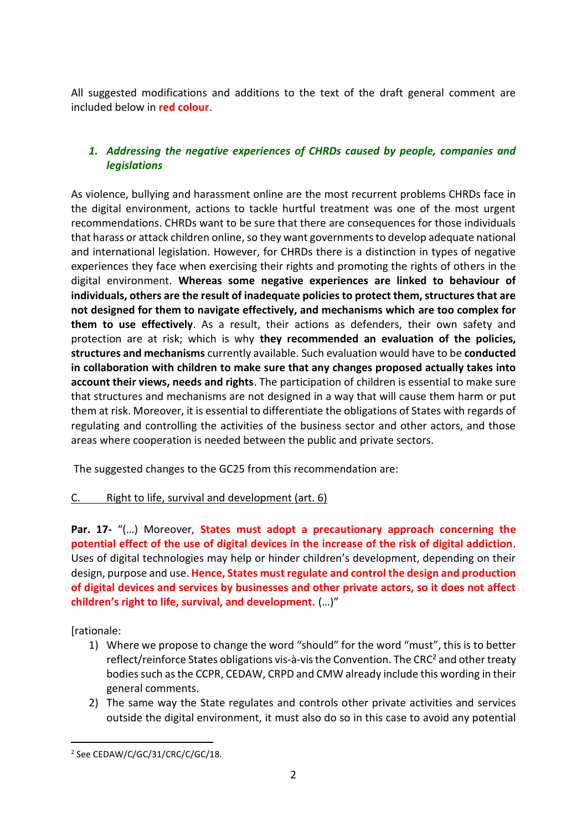All suggested modifications and additions to the text of the draft general comment are included below in **red colour**.

# *1. Addressing the negative experiences of CHRDs caused by people, companies and legislations*

As violence, bullying and harassment online are the most recurrent problems CHRDs face in the digital environment, actions to tackle hurtful treatment was one of the most urgent recommendations. CHRDs want to be sure that there are consequences for those individuals that harass or attack children online, so they want governments to develop adequate national and international legislation. However, for CHRDs there is a distinction in types of negative experiences they face when exercising their rights and promoting the rights of others in the digital environment. **Whereas some negative experiences are linked to behaviour of individuals, others are the result of inadequate policies to protect them, structures that are not designed for them to navigate effectively, and mechanisms which are too complex for them to use effectively**. As a result, their actions as defenders, their own safety and protection are at risk; which is why **they recommended an evaluation of the policies, structures and mechanisms** currently available. Such evaluation would have to be **conducted in collaboration with children to make sure that any changes proposed actually takes into account their views, needs and rights**. The participation of children is essential to make sure that structures and mechanisms are not designed in a way that will cause them harm or put them at risk. Moreover, it is essential to differentiate the obligations of States with regards of regulating and controlling the activities of the business sector and other actors, and those areas where cooperation is needed between the public and private sectors.

The suggested changes to the GC25 from this recommendation are:

# C. Right to life, survival and development (art. 6)

**Par. 17-** "(…) Moreover, **States must adopt a precautionary approach concerning the potential effect of the use of digital devices in the increase of the risk of digital addiction**. Uses of digital technologies may help or hinder children's development, depending on their design, purpose and use. **Hence, States must regulate and control the design and production of digital devices and services by businesses and other private actors, so it does not affect children's right to life, survival, and development.** (…)"

[rationale:

- 1) Where we propose to change the word "should" for the word "must", this is to better reflect/reinforce States obligations vis-à-vis the Convention. The CRC<sup>2</sup> and other treaty bodies such as the CCPR, CEDAW, CRPD and CMW already include this wording in their general comments.
- 2) The same way the State regulates and controls other private activities and services outside the digital environment, it must also do so in this case to avoid any potential

<sup>2</sup> See CEDAW/C/GC/31/CRC/C/GC/18.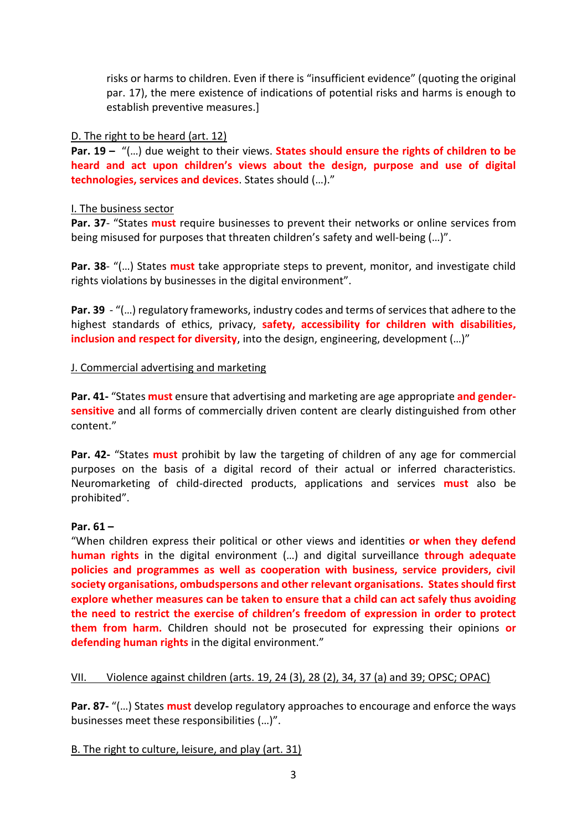risks or harms to children. Even if there is "insufficient evidence" (quoting the original par. 17), the mere existence of indications of potential risks and harms is enough to establish preventive measures.]

#### D. The right to be heard (art. 12)

**Par. 19 –** "(...) due weight to their views. **States should ensure the rights of children to be heard and act upon children's views about the design, purpose and use of digital technologies, services and devices**. States should (…)."

#### I. The business sector

**Par. 37**- "States **must** require businesses to prevent their networks or online services from being misused for purposes that threaten children's safety and well-being (…)".

**Par. 38**- "(…) States **must** take appropriate steps to prevent, monitor, and investigate child rights violations by businesses in the digital environment".

**Par. 39** - "(...) regulatory frameworks, industry codes and terms of services that adhere to the highest standards of ethics, privacy, **safety, accessibility for children with disabilities, inclusion and respect for diversity**, into the design, engineering, development (…)"

#### J. Commercial advertising and marketing

**Par. 41-** "States **must** ensure that advertising and marketing are age appropriate **and gendersensitive** and all forms of commercially driven content are clearly distinguished from other content."

**Par. 42-** "States **must** prohibit by law the targeting of children of any age for commercial purposes on the basis of a digital record of their actual or inferred characteristics. Neuromarketing of child-directed products, applications and services **must** also be prohibited".

# **Par. 61 –**

"When children express their political or other views and identities **or when they defend human rights** in the digital environment (…) and digital surveillance **through adequate policies and programmes as well as cooperation with business, service providers, civil society organisations, ombudspersons and other relevant organisations. States should first explore whether measures can be taken to ensure that a child can act safely thus avoiding the need to restrict the exercise of children's freedom of expression in order to protect them from harm.** Children should not be prosecuted for expressing their opinions **or defending human rights** in the digital environment."

# VII. Violence against children (arts. 19, 24 (3), 28 (2), 34, 37 (a) and 39; OPSC; OPAC)

**Par. 87-** "(…) States **must** develop regulatory approaches to encourage and enforce the ways businesses meet these responsibilities (…)".

# B. The right to culture, leisure, and play (art. 31)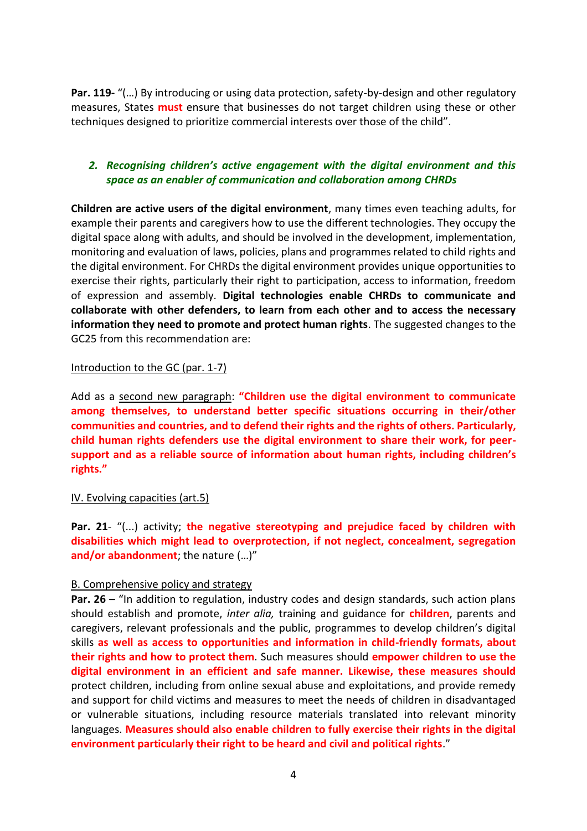**Par. 119-** "(…) By introducing or using data protection, safety-by-design and other regulatory measures, States **must** ensure that businesses do not target children using these or other techniques designed to prioritize commercial interests over those of the child".

# *2. Recognising children's active engagement with the digital environment and this space as an enabler of communication and collaboration among CHRDs*

**Children are active users of the digital environment**, many times even teaching adults, for example their parents and caregivers how to use the different technologies. They occupy the digital space along with adults, and should be involved in the development, implementation, monitoring and evaluation of laws, policies, plans and programmes related to child rights and the digital environment. For CHRDs the digital environment provides unique opportunities to exercise their rights, particularly their right to participation, access to information, freedom of expression and assembly. **Digital technologies enable CHRDs to communicate and collaborate with other defenders, to learn from each other and to access the necessary information they need to promote and protect human rights**. The suggested changes to the GC25 from this recommendation are:

#### Introduction to the GC (par. 1-7)

Add as a second new paragraph: **"Children use the digital environment to communicate among themselves, to understand better specific situations occurring in their/other communities and countries, and to defend their rights and the rights of others. Particularly, child human rights defenders use the digital environment to share their work, for peersupport and as a reliable source of information about human rights, including children's rights."**

#### IV. Evolving capacities (art.5)

**Par. 21**- "(...) activity; **the negative stereotyping and prejudice faced by children with disabilities which might lead to overprotection, if not neglect, concealment, segregation and/or abandonment**; the nature (…)"

#### B. Comprehensive policy and strategy

**Par. 26 –** "In addition to regulation, industry codes and design standards, such action plans should establish and promote, *inter alia,* training and guidance for **children**, parents and caregivers, relevant professionals and the public, programmes to develop children's digital skills **as well as access to opportunities and information in child-friendly formats, about their rights and how to protect them**. Such measures should **empower children to use the digital environment in an efficient and safe manner. Likewise, these measures should** protect children, including from online sexual abuse and exploitations, and provide remedy and support for child victims and measures to meet the needs of children in disadvantaged or vulnerable situations, including resource materials translated into relevant minority languages. **Measures should also enable children to fully exercise their rights in the digital environment particularly their right to be heard and civil and political rights**."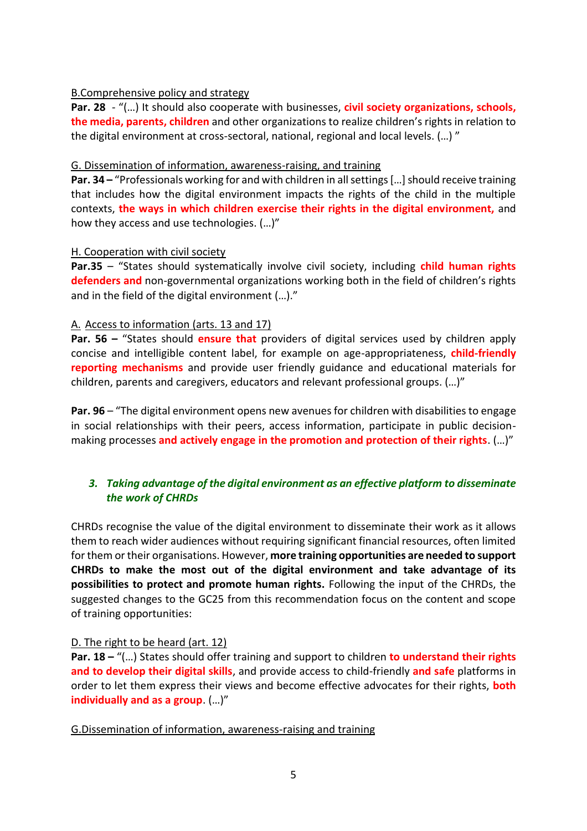#### B.Comprehensive policy and strategy

**Par. 28** - "(…) It should also cooperate with businesses, **civil society organizations, schools, the media, parents, children** and other organizations to realize children's rights in relation to the digital environment at cross-sectoral, national, regional and local levels. (…) "

#### G. Dissemination of information, awareness-raising, and training

**Par. 34 –** "Professionals working for and with children in all settings […] should receive training that includes how the digital environment impacts the rights of the child in the multiple contexts, **the ways in which children exercise their rights in the digital environment,** and how they access and use technologies. (…)"

#### H. Cooperation with civil society

**Par.35** – "States should systematically involve civil society, including **child human rights defenders and** non-governmental organizations working both in the field of children's rights and in the field of the digital environment (…)."

# A. Access to information (arts. 13 and 17)

**Par. 56 –** "States should **ensure that** providers of digital services used by children apply concise and intelligible content label, for example on age-appropriateness, **child-friendly reporting mechanisms** and provide user friendly guidance and educational materials for children, parents and caregivers, educators and relevant professional groups. (…)"

**Par. 96** – "The digital environment opens new avenues for children with disabilities to engage in social relationships with their peers, access information, participate in public decisionmaking processes **and actively engage in the promotion and protection of their rights**. (…)"

# *3. Taking advantage of the digital environment as an effective platform to disseminate the work of CHRDs*

CHRDs recognise the value of the digital environment to disseminate their work as it allows them to reach wider audiences without requiring significant financial resources, often limited for them or their organisations. However, **more training opportunities are needed to support CHRDs to make the most out of the digital environment and take advantage of its possibilities to protect and promote human rights.** Following the input of the CHRDs, the suggested changes to the GC25 from this recommendation focus on the content and scope of training opportunities:

# D. The right to be heard (art. 12)

**Par. 18 –** "(…) States should offer training and support to children **to understand their rights and to develop their digital skills**, and provide access to child-friendly **and safe** platforms in order to let them express their views and become effective advocates for their rights, **both individually and as a group**. (…)"

G.Dissemination of information, awareness-raising and training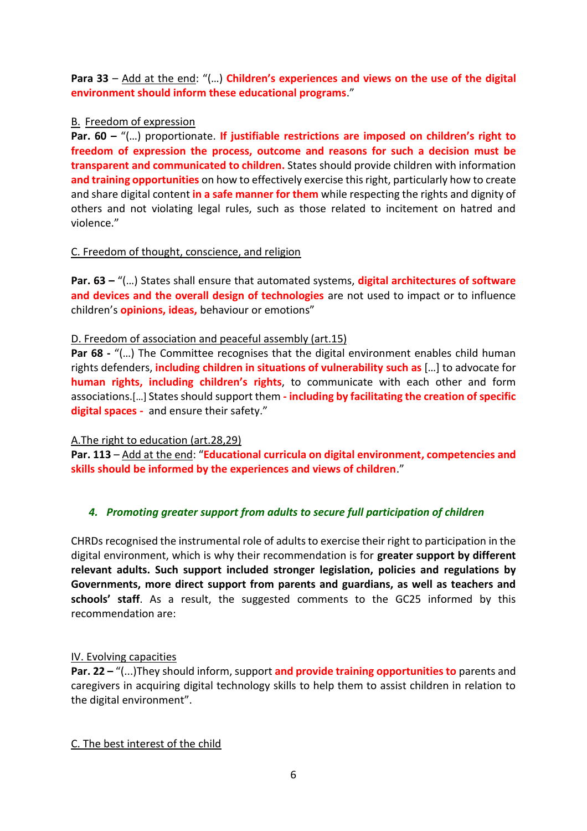**Para 33** – Add at the end: "(…) **Children's experiences and views on the use of the digital environment should inform these educational programs**."

# B. Freedom of expression

**Par. 60 –** "(…) proportionate. **If justifiable restrictions are imposed on children's right to freedom of expression the process, outcome and reasons for such a decision must be transparent and communicated to children.** States should provide children with information **and training opportunities** on how to effectively exercise this right, particularly how to create and share digital content **in a safe manner for them** while respecting the rights and dignity of others and not violating legal rules, such as those related to incitement on hatred and violence."

# C. Freedom of thought, conscience, and religion

**Par. 63 –** "(…) States shall ensure that automated systems, **digital architectures of software and devices and the overall design of technologies** are not used to impact or to influence children's **opinions, ideas,** behaviour or emotions"

# D. Freedom of association and peaceful assembly (art.15)

**Par 68 -** "(...) The Committee recognises that the digital environment enables child human rights defenders, **including children in situations of vulnerability such as** […] to advocate for **human rights, including children's rights**, to communicate with each other and form associations.[…] States should support them **- including by facilitating the creation of specific digital spaces -** and ensure their safety."

# A.The right to education (art.28,29)

**Par. 113** – Add at the end: "**Educational curricula on digital environment, competencies and skills should be informed by the experiences and views of children**."

# *4. Promoting greater support from adults to secure full participation of children*

CHRDs recognised the instrumental role of adults to exercise their right to participation in the digital environment, which is why their recommendation is for **greater support by different relevant adults. Such support included stronger legislation, policies and regulations by Governments, more direct support from parents and guardians, as well as teachers and schools' staff**. As a result, the suggested comments to the GC25 informed by this recommendation are:

# IV. Evolving capacities

**Par. 22 –** "(...)They should inform, support **and provide training opportunities to** parents and caregivers in acquiring digital technology skills to help them to assist children in relation to the digital environment".

# C. The best interest of the child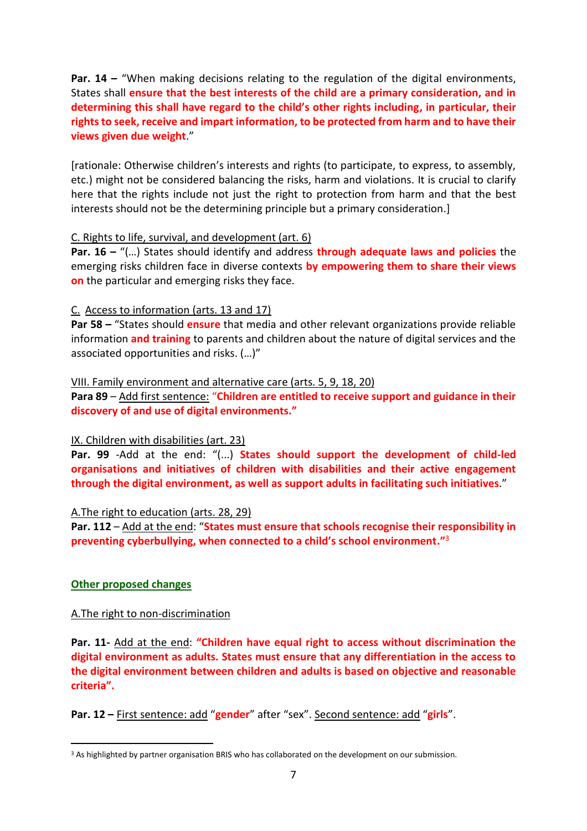**Par. 14 –** "When making decisions relating to the regulation of the digital environments, States shall **ensure that the best interests of the child are a primary consideration, and in determining this shall have regard to the child's other rights including, in particular, their rights to seek, receive and impart information, to be protected from harm and to have their views given due weight**."

[rationale: Otherwise children's interests and rights (to participate, to express, to assembly, etc.) might not be considered balancing the risks, harm and violations. It is crucial to clarify here that the rights include not just the right to protection from harm and that the best interests should not be the determining principle but a primary consideration.]

#### C. Rights to life, survival, and development (art. 6)

**Par. 16 –** "(…) States should identify and address **through adequate laws and policies** the emerging risks children face in diverse contexts **by empowering them to share their views on** the particular and emerging risks they face.

#### C. Access to information (arts. 13 and 17)

**Par 58 –** "States should **ensure** that media and other relevant organizations provide reliable information **and training** to parents and children about the nature of digital services and the associated opportunities and risks. (…)"

#### VIII. Family environment and alternative care (arts. 5, 9, 18, 20)

**Para 89** – Add first sentence: "**Children are entitled to receive support and guidance in their discovery of and use of digital environments."** 

# IX. Children with disabilities (art. 23)

**Par. 99** -Add at the end: "(...) **States should support the development of child-led organisations and initiatives of children with disabilities and their active engagement through the digital environment, as well as support adults in facilitating such initiatives**."

#### A.The right to education (arts. 28, 29)

**Par. 112** – Add at the end: "**States must ensure that schools recognise their responsibility in preventing cyberbullying, when connected to a child's school environment."** 3

# **Other proposed changes**

# A.The right to non-discrimination

**Par. 11-** Add at the end: **"Children have equal right to access without discrimination the digital environment as adults. States must ensure that any differentiation in the access to the digital environment between children and adults is based on objective and reasonable criteria".**

**Par. 12 –** First sentence: add "**gender**" after "sex". Second sentence: add "**girls**".

<sup>&</sup>lt;sup>3</sup> As highlighted by partner organisation BRIS who has collaborated on the development on our submission.